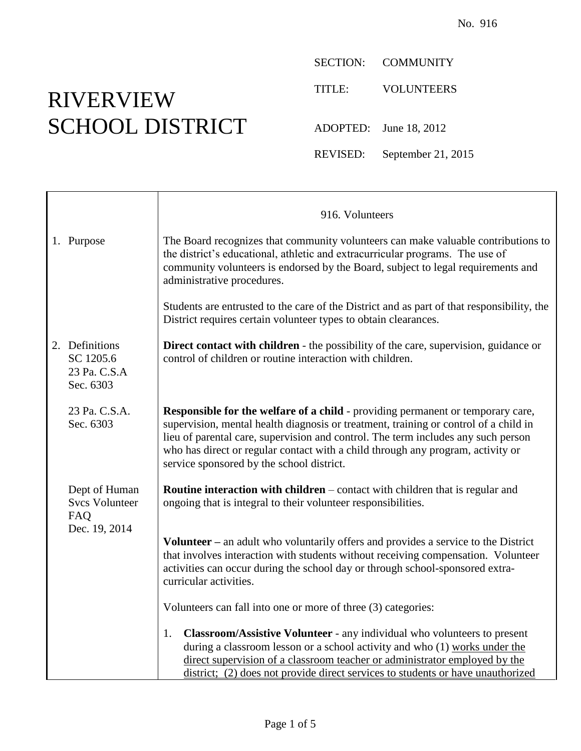## RIVERVIEW SCHOOL DISTRICT

 $\Gamma$ 

SECTION: COMMUNITY

TITLE: VOLUNTEERS

ADOPTED: June 18, 2012

REVISED: September 21, 2015

|                                                          | 916. Volunteers                                                                                                                                                                                                                                                                                                                                                                                     |
|----------------------------------------------------------|-----------------------------------------------------------------------------------------------------------------------------------------------------------------------------------------------------------------------------------------------------------------------------------------------------------------------------------------------------------------------------------------------------|
| 1. Purpose                                               | The Board recognizes that community volunteers can make valuable contributions to<br>the district's educational, athletic and extracurricular programs. The use of<br>community volunteers is endorsed by the Board, subject to legal requirements and<br>administrative procedures.                                                                                                                |
|                                                          | Students are entrusted to the care of the District and as part of that responsibility, the<br>District requires certain volunteer types to obtain clearances.                                                                                                                                                                                                                                       |
| 2. Definitions<br>SC 1205.6<br>23 Pa. C.S.A<br>Sec. 6303 | <b>Direct contact with children</b> - the possibility of the care, supervision, guidance or<br>control of children or routine interaction with children.                                                                                                                                                                                                                                            |
| 23 Pa. C.S.A.<br>Sec. 6303                               | <b>Responsible for the welfare of a child - providing permanent or temporary care,</b><br>supervision, mental health diagnosis or treatment, training or control of a child in<br>lieu of parental care, supervision and control. The term includes any such person<br>who has direct or regular contact with a child through any program, activity or<br>service sponsored by the school district. |
| Dept of Human<br><b>Svcs Volunteer</b><br>FAQ            | Routine interaction with children - contact with children that is regular and<br>ongoing that is integral to their volunteer responsibilities.                                                                                                                                                                                                                                                      |
| Dec. 19, 2014                                            | <b>Volunteer</b> – an adult who voluntarily offers and provides a service to the District<br>that involves interaction with students without receiving compensation. Volunteer<br>activities can occur during the school day or through school-sponsored extra-<br>curricular activities.                                                                                                           |
|                                                          | Volunteers can fall into one or more of three (3) categories:                                                                                                                                                                                                                                                                                                                                       |
|                                                          | <b>Classroom/Assistive Volunteer</b> - any individual who volunteers to present<br>1.<br>during a classroom lesson or a school activity and who $(1)$ works under the<br>direct supervision of a classroom teacher or administrator employed by the<br>district; (2) does not provide direct services to students or have unauthorized                                                              |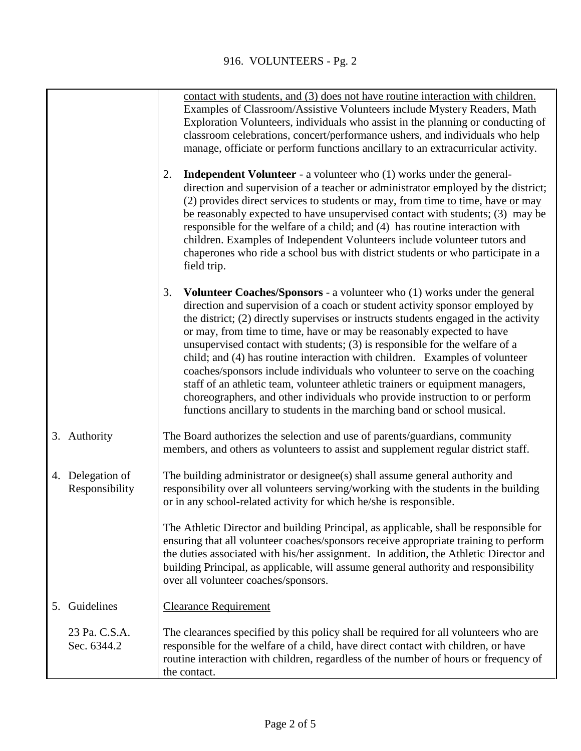|    |                                    | contact with students, and (3) does not have routine interaction with children.<br>Examples of Classroom/Assistive Volunteers include Mystery Readers, Math<br>Exploration Volunteers, individuals who assist in the planning or conducting of<br>classroom celebrations, concert/performance ushers, and individuals who help<br>manage, officiate or perform functions ancillary to an extracurricular activity.                                                                                                                                                                                                                                                                                                                                                                                                            |
|----|------------------------------------|-------------------------------------------------------------------------------------------------------------------------------------------------------------------------------------------------------------------------------------------------------------------------------------------------------------------------------------------------------------------------------------------------------------------------------------------------------------------------------------------------------------------------------------------------------------------------------------------------------------------------------------------------------------------------------------------------------------------------------------------------------------------------------------------------------------------------------|
|    |                                    | <b>Independent Volunteer</b> - a volunteer who (1) works under the general-<br>2.<br>direction and supervision of a teacher or administrator employed by the district;<br>(2) provides direct services to students or may, from time to time, have or may<br>be reasonably expected to have unsupervised contact with students; (3) may be<br>responsible for the welfare of a child; and (4) has routine interaction with<br>children. Examples of Independent Volunteers include volunteer tutors and<br>chaperones who ride a school bus with district students or who participate in a<br>field trip.                                                                                                                                                                                                                     |
|    |                                    | 3.<br><b>Volunteer Coaches/Sponsors - a volunteer who (1) works under the general</b><br>direction and supervision of a coach or student activity sponsor employed by<br>the district; (2) directly supervises or instructs students engaged in the activity<br>or may, from time to time, have or may be reasonably expected to have<br>unsupervised contact with students; (3) is responsible for the welfare of a<br>child; and (4) has routine interaction with children. Examples of volunteer<br>coaches/sponsors include individuals who volunteer to serve on the coaching<br>staff of an athletic team, volunteer athletic trainers or equipment managers,<br>choreographers, and other individuals who provide instruction to or perform<br>functions ancillary to students in the marching band or school musical. |
|    | 3. Authority                       | The Board authorizes the selection and use of parents/guardians, community<br>members, and others as volunteers to assist and supplement regular district staff.                                                                                                                                                                                                                                                                                                                                                                                                                                                                                                                                                                                                                                                              |
|    | 4. Delegation of<br>Responsibility | The building administrator or designee(s) shall assume general authority and<br>responsibility over all volunteers serving/working with the students in the building<br>or in any school-related activity for which he/she is responsible.                                                                                                                                                                                                                                                                                                                                                                                                                                                                                                                                                                                    |
|    |                                    | The Athletic Director and building Principal, as applicable, shall be responsible for<br>ensuring that all volunteer coaches/sponsors receive appropriate training to perform<br>the duties associated with his/her assignment. In addition, the Athletic Director and<br>building Principal, as applicable, will assume general authority and responsibility<br>over all volunteer coaches/sponsors.                                                                                                                                                                                                                                                                                                                                                                                                                         |
| 5. | Guidelines                         | <b>Clearance Requirement</b>                                                                                                                                                                                                                                                                                                                                                                                                                                                                                                                                                                                                                                                                                                                                                                                                  |
|    | 23 Pa. C.S.A.<br>Sec. 6344.2       | The clearances specified by this policy shall be required for all volunteers who are<br>responsible for the welfare of a child, have direct contact with children, or have<br>routine interaction with children, regardless of the number of hours or frequency of<br>the contact.                                                                                                                                                                                                                                                                                                                                                                                                                                                                                                                                            |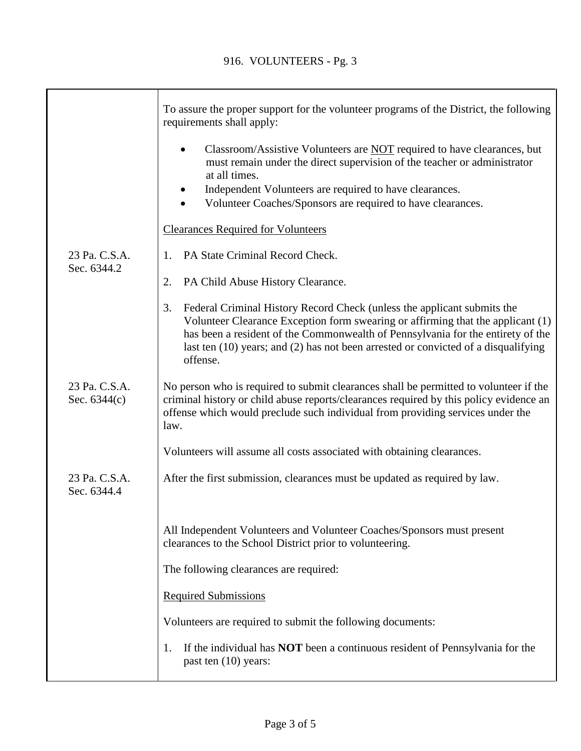|                                 | To assure the proper support for the volunteer programs of the District, the following<br>requirements shall apply:                                                                                                                                                                                                                                       |
|---------------------------------|-----------------------------------------------------------------------------------------------------------------------------------------------------------------------------------------------------------------------------------------------------------------------------------------------------------------------------------------------------------|
|                                 | Classroom/Assistive Volunteers are NOT required to have clearances, but<br>$\bullet$<br>must remain under the direct supervision of the teacher or administrator<br>at all times.<br>Independent Volunteers are required to have clearances.<br>Volunteer Coaches/Sponsors are required to have clearances.                                               |
|                                 | <b>Clearances Required for Volunteers</b>                                                                                                                                                                                                                                                                                                                 |
| 23 Pa. C.S.A.                   | PA State Criminal Record Check.<br>1.                                                                                                                                                                                                                                                                                                                     |
| Sec. 6344.2                     | PA Child Abuse History Clearance.<br>2.                                                                                                                                                                                                                                                                                                                   |
|                                 | 3.<br>Federal Criminal History Record Check (unless the applicant submits the<br>Volunteer Clearance Exception form swearing or affirming that the applicant (1)<br>has been a resident of the Commonwealth of Pennsylvania for the entirety of the<br>last ten $(10)$ years; and $(2)$ has not been arrested or convicted of a disqualifying<br>offense. |
| 23 Pa. C.S.A.<br>Sec. $6344(c)$ | No person who is required to submit clearances shall be permitted to volunteer if the<br>criminal history or child abuse reports/clearances required by this policy evidence an<br>offense which would preclude such individual from providing services under the<br>law.                                                                                 |
|                                 | Volunteers will assume all costs associated with obtaining clearances.                                                                                                                                                                                                                                                                                    |
| 23 Pa. C.S.A.<br>Sec. 6344.4    | After the first submission, clearances must be updated as required by law.                                                                                                                                                                                                                                                                                |
|                                 | All Independent Volunteers and Volunteer Coaches/Sponsors must present<br>clearances to the School District prior to volunteering.                                                                                                                                                                                                                        |
|                                 | The following clearances are required:                                                                                                                                                                                                                                                                                                                    |
|                                 | <b>Required Submissions</b>                                                                                                                                                                                                                                                                                                                               |
|                                 | Volunteers are required to submit the following documents:                                                                                                                                                                                                                                                                                                |
|                                 | If the individual has <b>NOT</b> been a continuous resident of Pennsylvania for the<br>1.<br>past ten (10) years:                                                                                                                                                                                                                                         |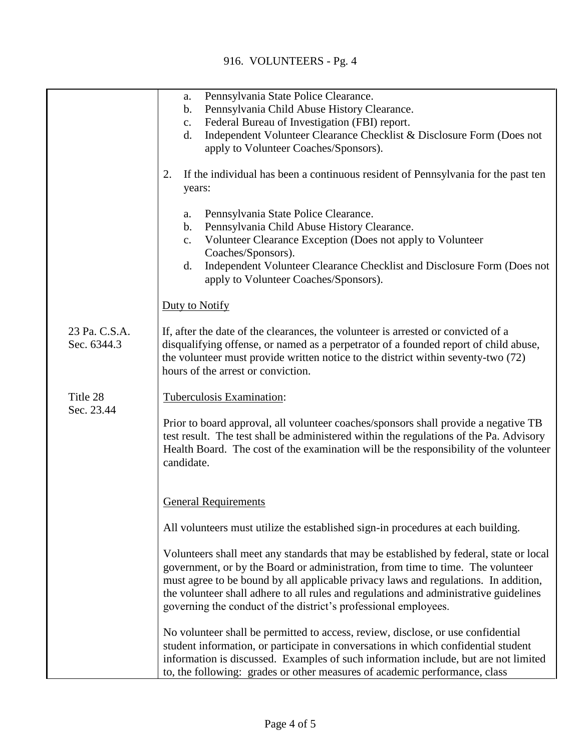## 916. VOLUNTEERS - Pg. 4

|                              | Pennsylvania State Police Clearance.<br>a.                                                                                                                                                                                                                                                                                                                                                                                   |
|------------------------------|------------------------------------------------------------------------------------------------------------------------------------------------------------------------------------------------------------------------------------------------------------------------------------------------------------------------------------------------------------------------------------------------------------------------------|
|                              | Pennsylvania Child Abuse History Clearance.<br>$\mathbf b$ .                                                                                                                                                                                                                                                                                                                                                                 |
|                              | Federal Bureau of Investigation (FBI) report.<br>$\mathbf{c}$ .                                                                                                                                                                                                                                                                                                                                                              |
|                              | Independent Volunteer Clearance Checklist & Disclosure Form (Does not<br>d.                                                                                                                                                                                                                                                                                                                                                  |
|                              | apply to Volunteer Coaches/Sponsors).                                                                                                                                                                                                                                                                                                                                                                                        |
|                              | If the individual has been a continuous resident of Pennsylvania for the past ten<br>2.<br>years:                                                                                                                                                                                                                                                                                                                            |
|                              | Pennsylvania State Police Clearance.<br>a.<br>Pennsylvania Child Abuse History Clearance.<br>$\mathbf b$ .<br>Volunteer Clearance Exception (Does not apply to Volunteer<br>$\mathbf{c}$ .                                                                                                                                                                                                                                   |
|                              | Coaches/Sponsors).<br>Independent Volunteer Clearance Checklist and Disclosure Form (Does not<br>d.<br>apply to Volunteer Coaches/Sponsors).                                                                                                                                                                                                                                                                                 |
|                              | Duty to Notify                                                                                                                                                                                                                                                                                                                                                                                                               |
| 23 Pa. C.S.A.<br>Sec. 6344.3 | If, after the date of the clearances, the volunteer is arrested or convicted of a<br>disqualifying offense, or named as a perpetrator of a founded report of child abuse,<br>the volunteer must provide written notice to the district within seventy-two (72)<br>hours of the arrest or conviction.                                                                                                                         |
| Title 28<br>Sec. 23.44       | Tuberculosis Examination:                                                                                                                                                                                                                                                                                                                                                                                                    |
|                              | Prior to board approval, all volunteer coaches/sponsors shall provide a negative TB<br>test result. The test shall be administered within the regulations of the Pa. Advisory<br>Health Board. The cost of the examination will be the responsibility of the volunteer<br>candidate.                                                                                                                                         |
|                              | <b>General Requirements</b>                                                                                                                                                                                                                                                                                                                                                                                                  |
|                              | All volunteers must utilize the established sign-in procedures at each building.                                                                                                                                                                                                                                                                                                                                             |
|                              | Volunteers shall meet any standards that may be established by federal, state or local<br>government, or by the Board or administration, from time to time. The volunteer<br>must agree to be bound by all applicable privacy laws and regulations. In addition,<br>the volunteer shall adhere to all rules and regulations and administrative guidelines<br>governing the conduct of the district's professional employees. |
|                              | No volunteer shall be permitted to access, review, disclose, or use confidential<br>student information, or participate in conversations in which confidential student<br>information is discussed. Examples of such information include, but are not limited<br>to, the following: grades or other measures of academic performance, class                                                                                  |